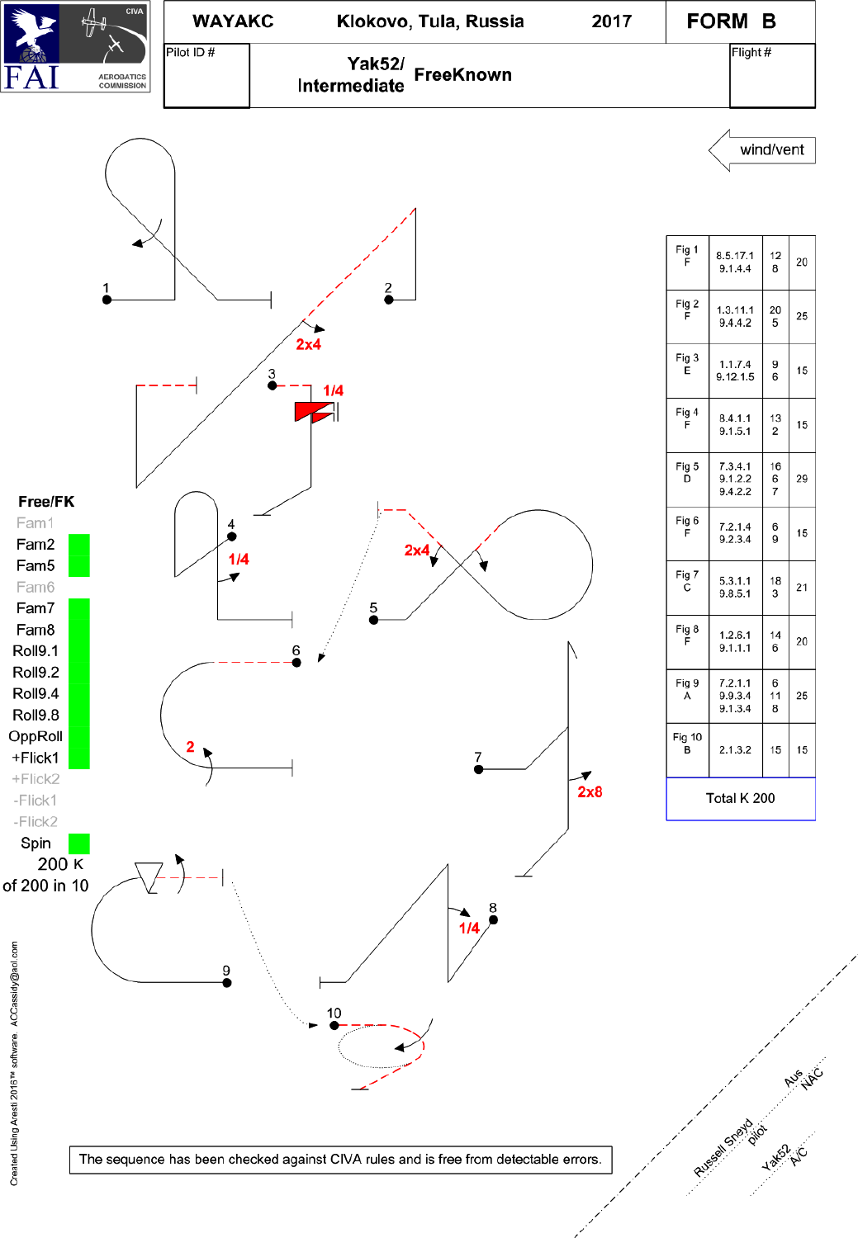

| Fig 9<br>A  | 7.2.1.1<br>9.9.3.4<br>9.1.3.4 | 6<br>11<br>8 | 25 |
|-------------|-------------------------------|--------------|----|
| Fig 10<br>В | 2.1.3.2                       | 15           | 15 |
| Total K 200 |                               |              |    |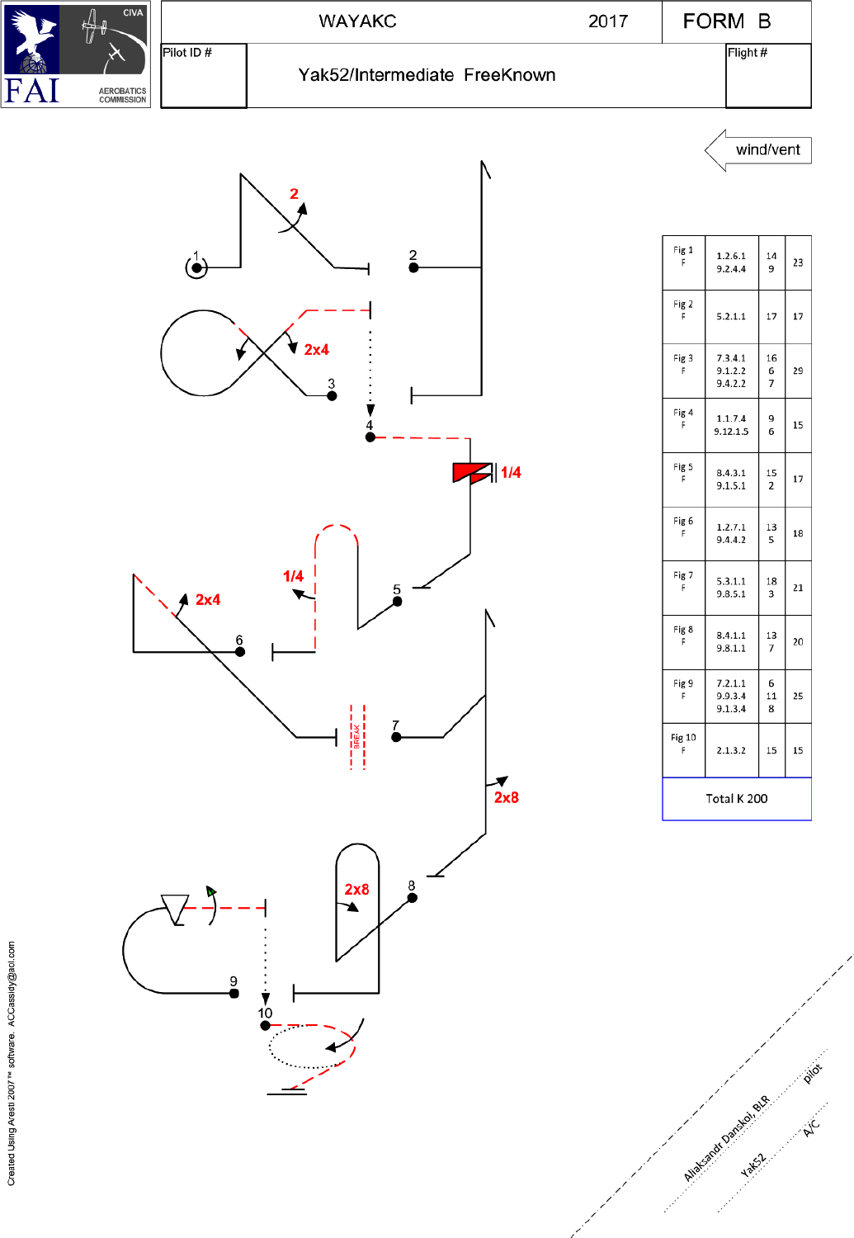

wind/vent



| Fig 1              | 1.2.6.1                       | 14           | 23 |
|--------------------|-------------------------------|--------------|----|
| F                  | 9.2.4.4                       | 9            |    |
| Fig 2<br>F         | 5.2.1.1                       | 17           | 17 |
| Fig 3<br>F         | 7.3.4.1<br>9.1.2.2<br>9.4.2.2 | 16<br>6<br>7 | 29 |
| Fig 4              | 1.1.7.4                       | 9            | 15 |
| F                  | 9.12.1.5                      | 6            |    |
| Fig 5              | 8.4.3.1                       | 15           | 17 |
| F                  | 9.1.5.1                       | 2            |    |
| Fig 6              | 1.2.7.1                       | 13           | 18 |
| F                  | 9.4.4.2                       | 5            |    |
| Fig 7              | 5.3.1.1                       | 18           | 21 |
| F                  | 9.8.5.1                       | 3            |    |
| Fig 8              | 8.4.1.1                       | 13           | 20 |
| F                  | 9.8.1.1                       | 7            |    |
| Fig 9<br>F         | 7.2.1.1<br>9.9.3.4<br>9.1.3.4 | 6<br>11<br>8 | 25 |
| <b>Fig 10</b><br>F | 2.1.3.2                       | 15           | 15 |
| Total K 200        |                               |              |    |

Alliabeted to analogue of the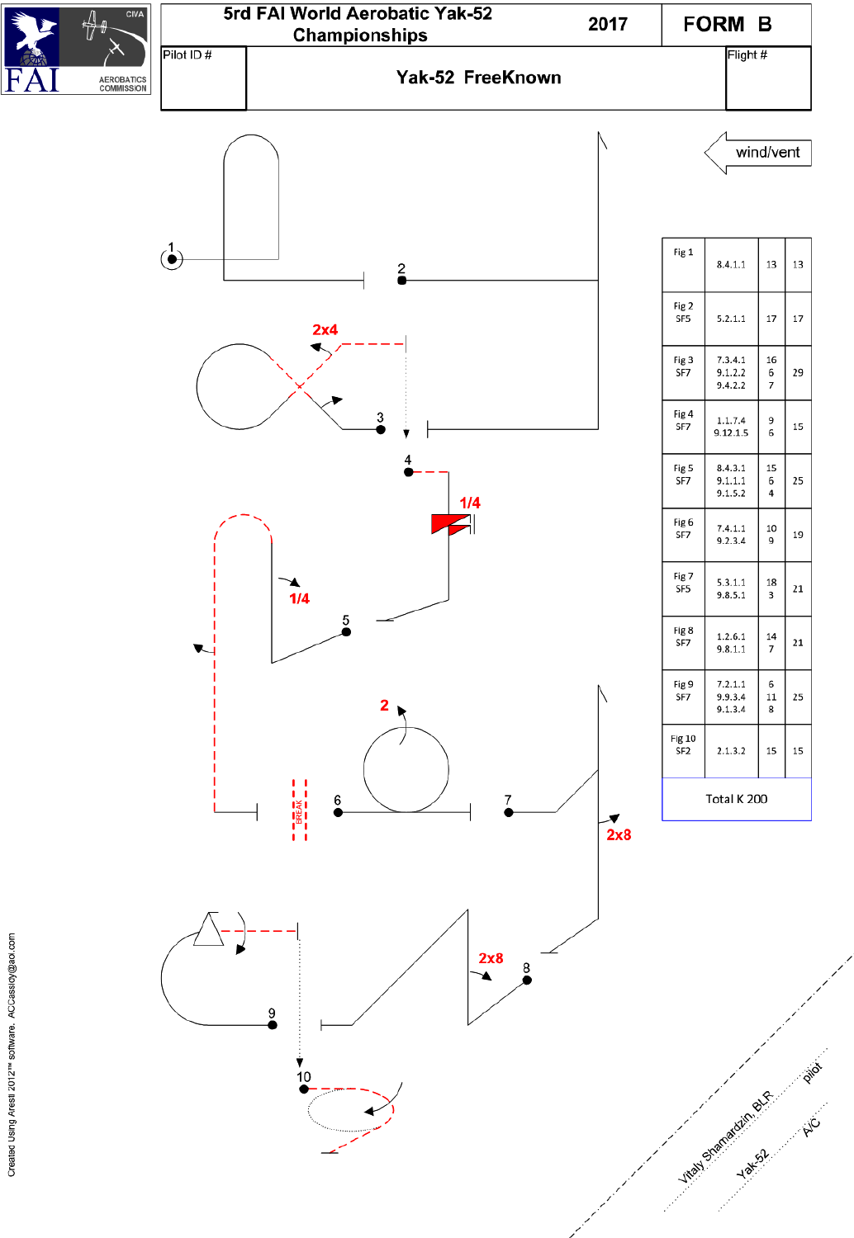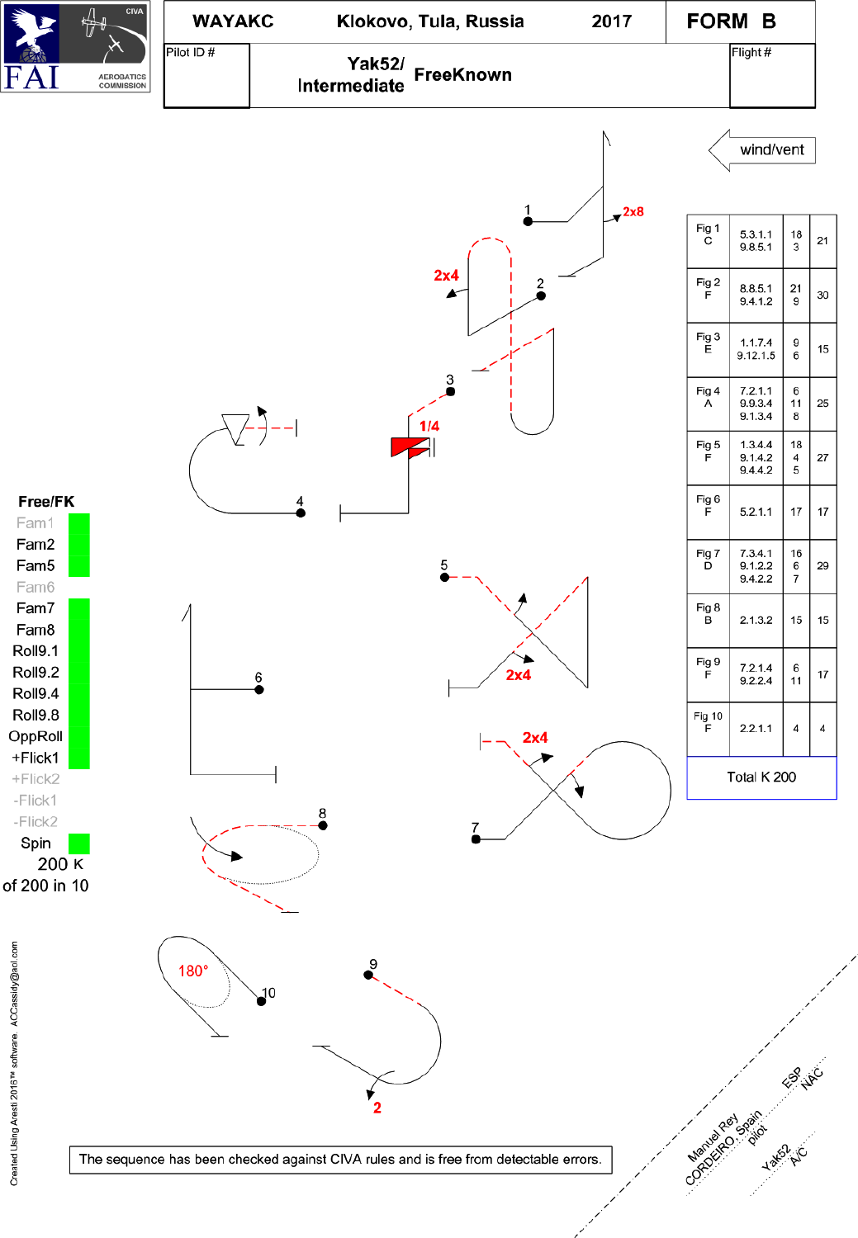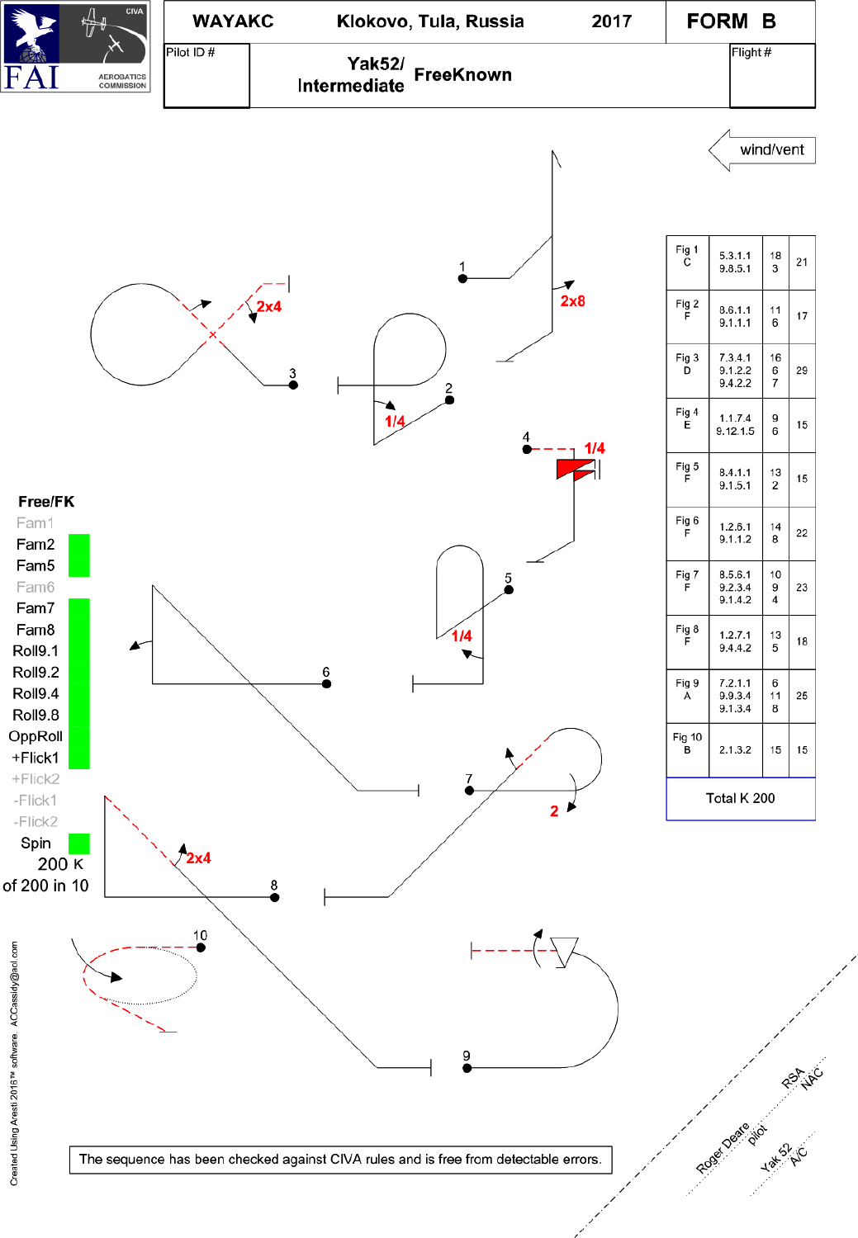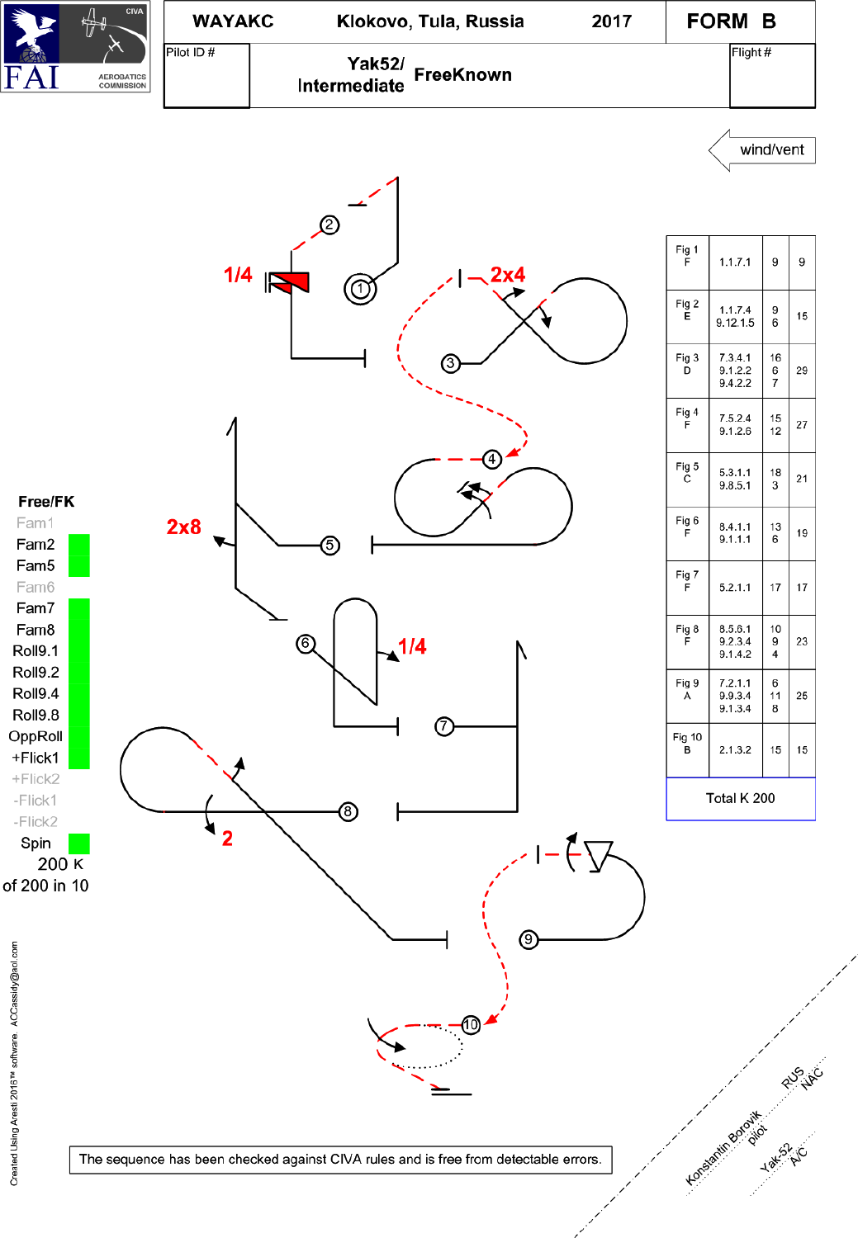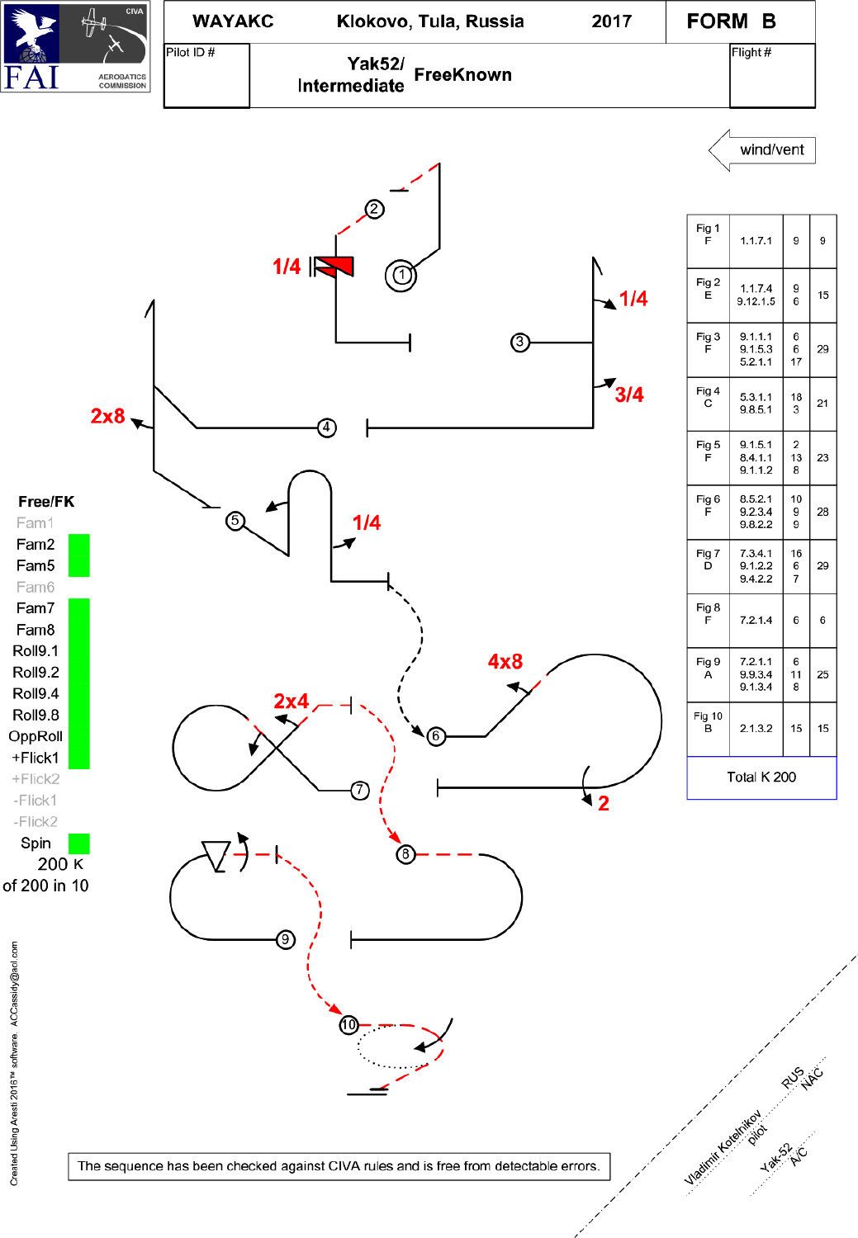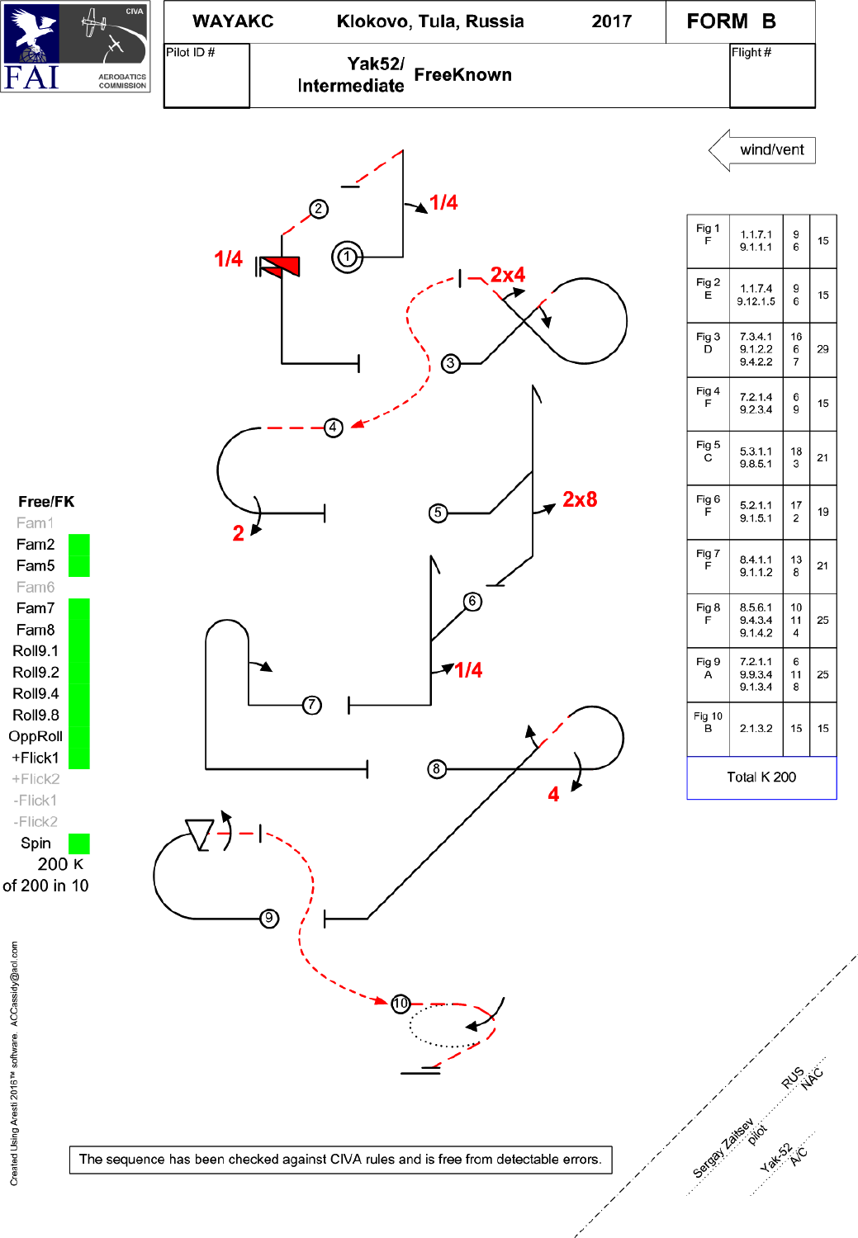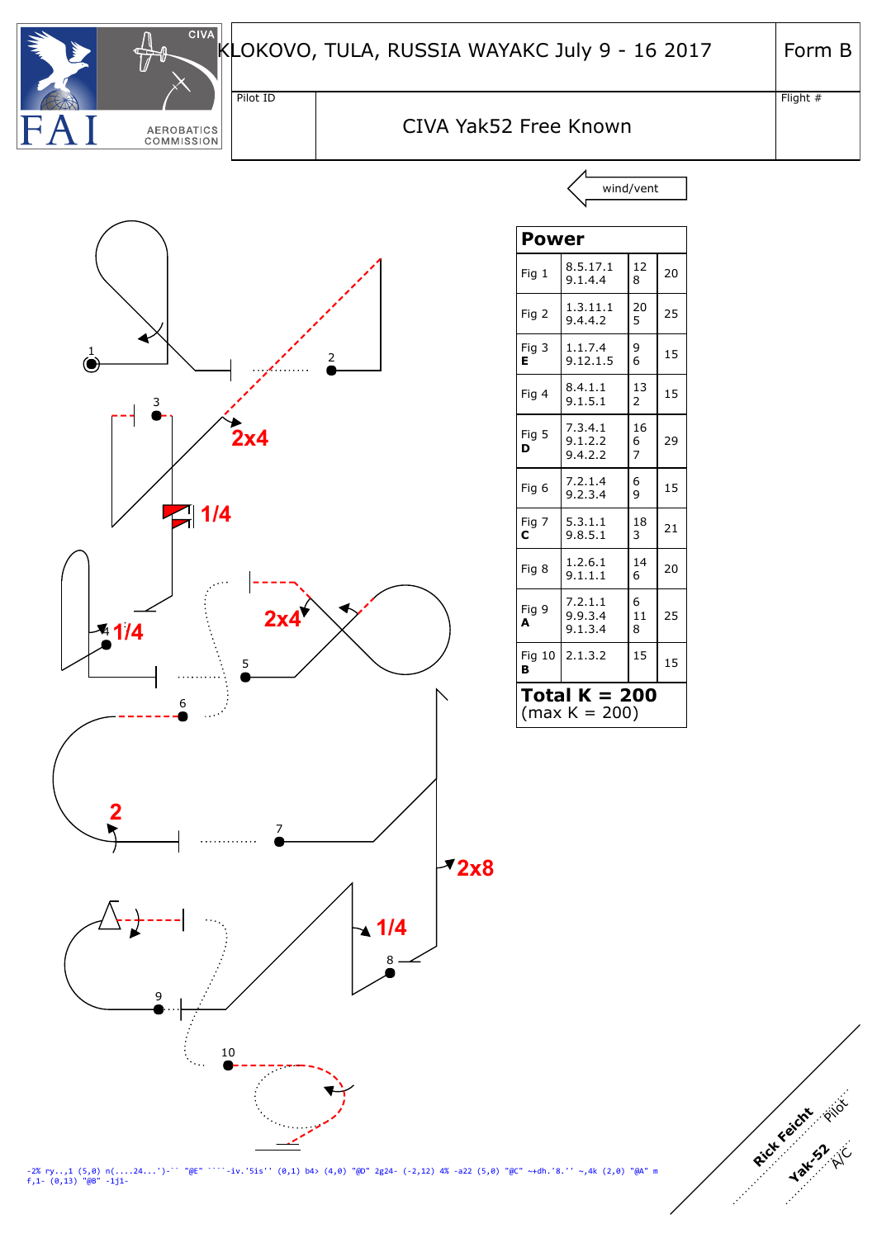| <b>And</b> | <b>CIVA</b>                            | LOKC     |
|------------|----------------------------------------|----------|
|            |                                        | Pilot ID |
|            | <b>AEROBATICS</b><br><b>COMMISSION</b> |          |

Flight #

Rick Feicht Phot

**Yak-52** A/C

## CIVA Yak52 Free Known





|                                  | Power                         |                           |    |
|----------------------------------|-------------------------------|---------------------------|----|
| Fig 1                            | 8.5.17.1<br>9.1.4.4           | 12<br>8                   | 20 |
| Fig 2                            | 1.3.11.1<br>9.4.4.2           | 20<br>5                   | 25 |
| Fig 3<br>Е                       | 1.1.7.4<br>9.12.1.5           | 9<br>6                    | 15 |
| Fig 4                            | 8.4.1.1<br>9.1.5.1            | 13<br>$\overline{2}$      | 15 |
| Fig 5<br>D                       | 7.3.4.1<br>9.1.2.2<br>9.4.2.2 | 16<br>6<br>$\overline{7}$ | 29 |
| Fig 6                            | 7.2.1.4<br>9.2.3.4            | 6<br>9                    | 15 |
| Fig 7<br>с                       | 5.3.1.1<br>9.8.5.1            | 18<br>3                   | 21 |
| Fig 8                            | 1.2.6.1<br>9.1.1.1            | 14<br>6                   | 20 |
| Fig 9<br>A                       | 7.2.1.1<br>9.9.3.4<br>9.1.3.4 | 6<br>11<br>8              | 25 |
| Fig 10<br>в                      | 2.1.3.2                       | 15                        | 15 |
| Total K = 200<br>$(max K = 200)$ |                               |                           |    |

 $-iv.$ '5is'' (0,1) b4> (4,0) "@D" 2g24- (-2,12) 4% -a22 (5,0) "@C" ~+dh.'8.'' ~,4k (2,0) "@A" m -2% ry..,1 (5,0) n(....24...')-<br>f,1- (0,13) "@B" -1j1-